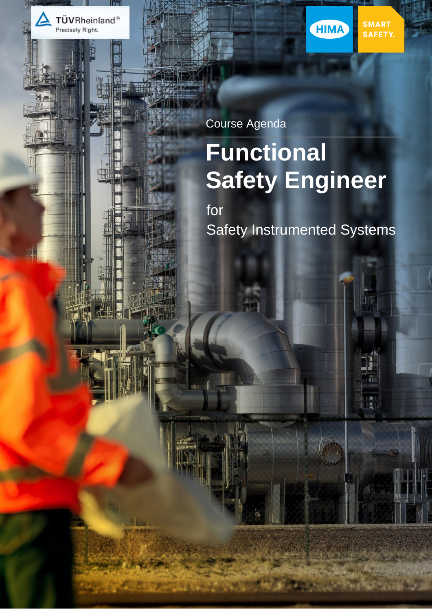

Course Agenda

# **Functional Safety Engineer**

SMART<br>SAFETY.

ī

W.

HIMA

for Safety Instrumented Systems